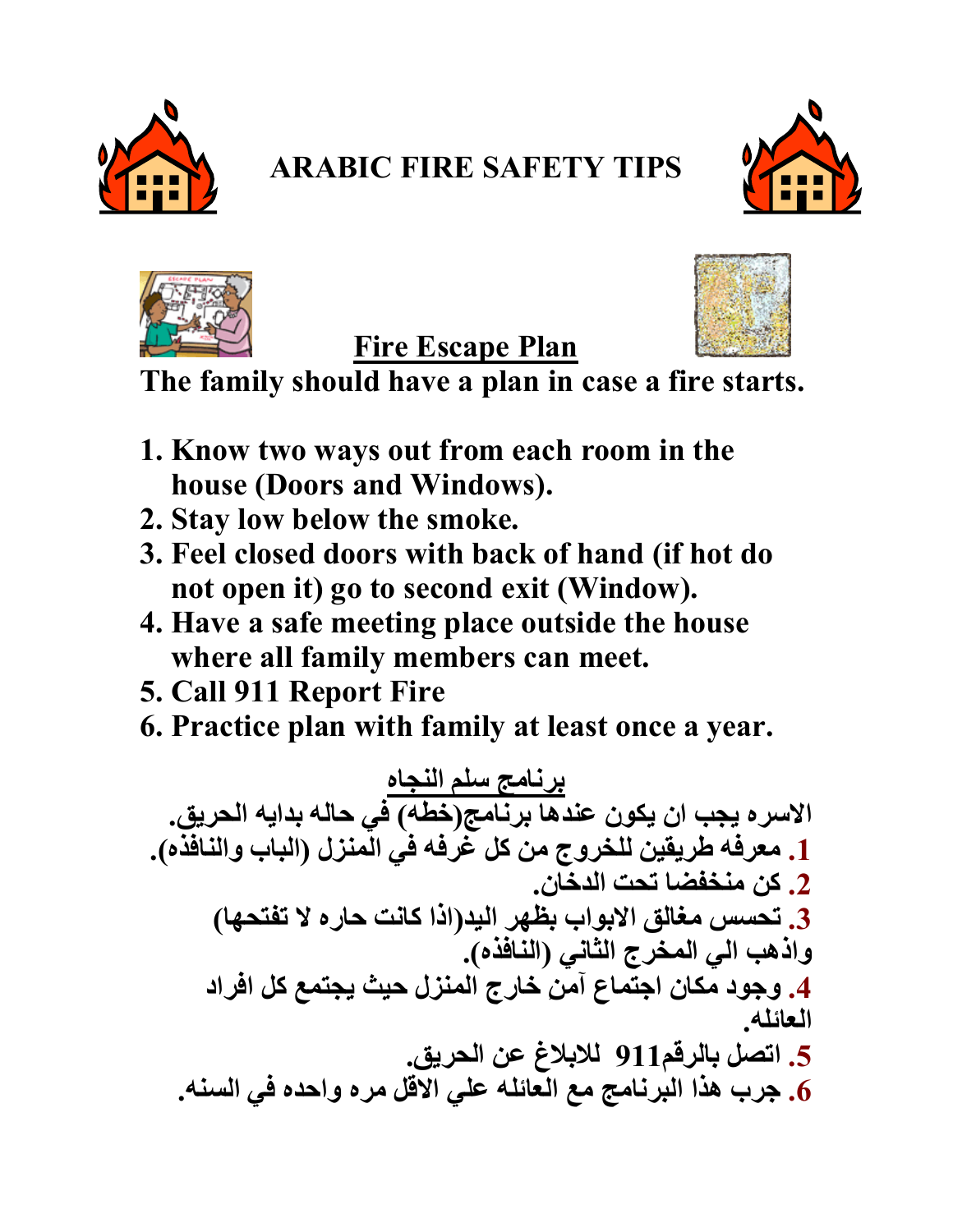

## **ARABIC FIRE SAFETY TIPS**







The family should have a plan in case a fire starts.

**Fire Escape Plan** 

- 1. Know two ways out from each room in the house (Doors and Windows).
- 2. Stay low below the smoke.
- 3. Feel closed doors with back of hand (if hot do not open it) go to second exit (Window).
- 4. Have a safe meeting place outside the house where all family members can meet.
- 5. Call 911 Report Fire
- 6. Practice plan with family at least once a year.

برنامج سلم النجاه<br>الاسر ه يجب ان يكون عندها برنامج(خطه) في حاله بدايه الحريق. 1. معرفه طريقين للخروج من كل غَرِفه في الْمنزل (الباب والنافذه). 2. كن منخفضا تحت الدخان. 3. تحسس مغالق الابواب بظهر اليد(اذا كانت حاره لا تفتحها) واذهب الى المخرج الثاني (النافذه). العائله 5. اتصل بالرقم911 للابلاغ عن الحريق. 6. جرب هذا البرنامج مع العائله على الاقل مره واحده في السنه.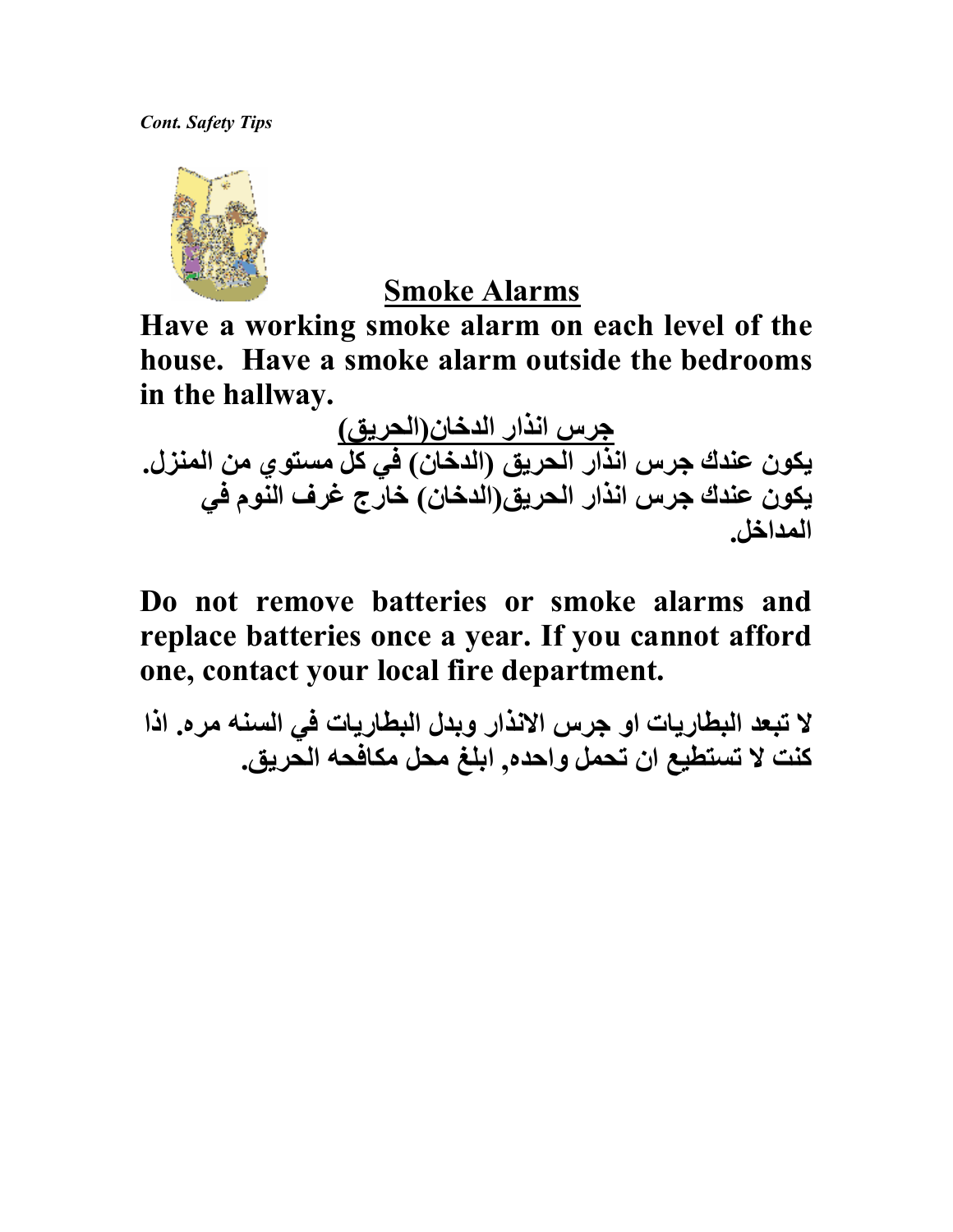

#### Smoke Alarms

Have a working smoke alarm on each level of the house. Have a smoke alarm outside the bedrooms in the hallway.

<u>جرس انذار الدخان(الحريق)</u> يكون عندك جرس انذار الحريق (الدخان) في كل مستوي من المنزل. يكون عندك جرس انذار الحريق(الدخان) خارج غرف النوم في المداخل

Do not remove batteries or smoke alarms and replace batteries once a year. If you cannot afford one, contact your local fire department.

لا تبعد البطاريات او جرس الانذار وبدل البطاريات في السنه مره. اذا كنت لا تستطيع ان تحمل واحده. ابلغ محل مكافحه الحريق.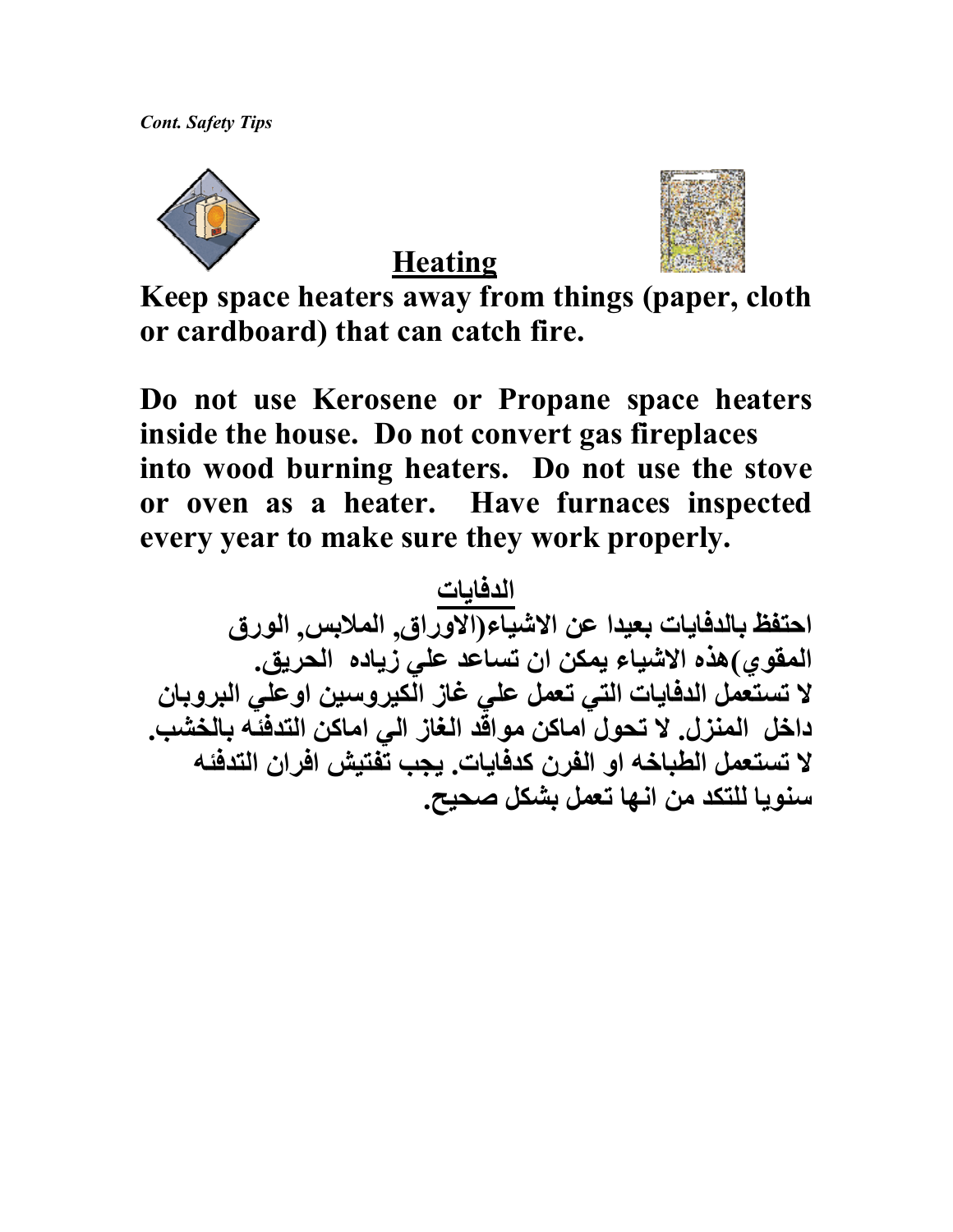



**Heating** 

Keep space heaters away from things (paper, cloth or cardboard) that can catch fire.

Do not use Kerosene or Propane space heaters inside the house. Do not convert gas fireplaces into wood burning heaters. Do not use the stove or oven as a heater. Have furnaces inspected every year to make sure they work properly.

الدفايات<br>احتفظ بالدفايات بعيدا عن الاشياء(الاوراق, الملابس, الورق المقوي)هذه الاشياء يمكن ان تساعد علي زياده الحريق. لا تستعمل الدفايات التي تعمل علي غاز الكيروسين اوعلي البروبان داخل المنزل. لا تحول اماكن مواقّد الغاز الي اماكن التدفّنّه بالخشب. لا تستعمل الطباخه او الفرن كدفايات. يجب تفتيش افران التدفئه سنويا للتكد من انـها تـعمل بشكل صـحيح.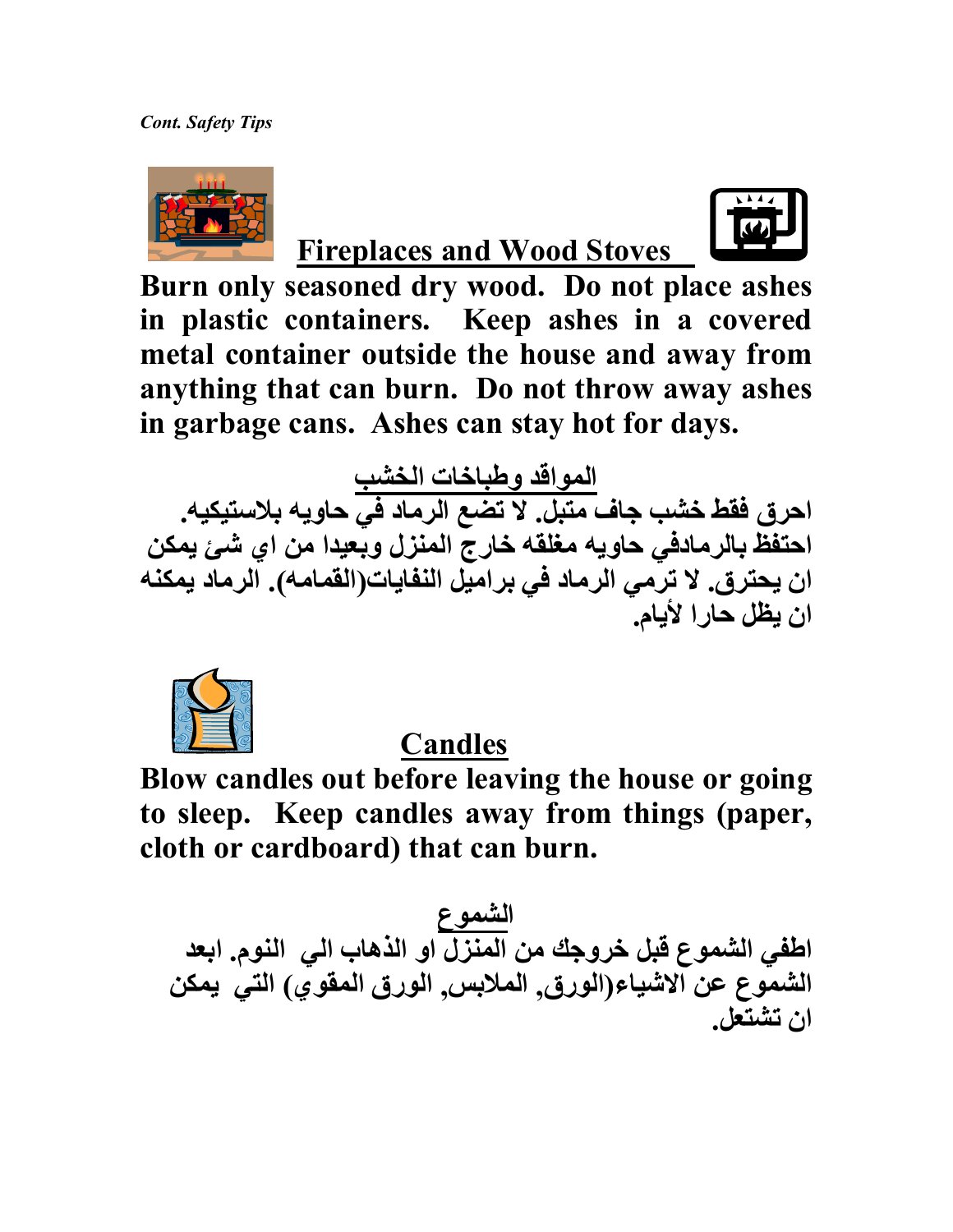**Cont. Safety Tips** 



## **Fireplaces and Wood Stoves**



Burn only seasoned dry wood. Do not place ashes in plastic containers. Keep ashes in a covered metal container outside the house and away from anything that can burn. Do not throw away ashes in garbage cans. Ashes can stay hot for days.

المواقد وطباخات الخشب<br>احرق فقط خشب جاف متبل. لا تضع الرماد في حاويه بلاستيكيه. احتفظ بالرمادفي حاويه مغلقه خارج المنزل وبعيدا من اي شئ يمكن ان يحترق. لا ترمى الرماد فى براميل النفايات(القمامه). الرماد يمكنه ان يظل حارا لأيام.



**Candles** 

Blow candles out before leaving the house or going to sleep. Keep candles away from things (paper, cloth or cardboard) that can burn.

الشموع<br>اطفي الشموع قبل خروجك من المنزل او الذهاب الي النوم. ابعد الشموع عن الاشياء(الورق, الملابس, الورق المفوي) التي يمكن ان تشتعل.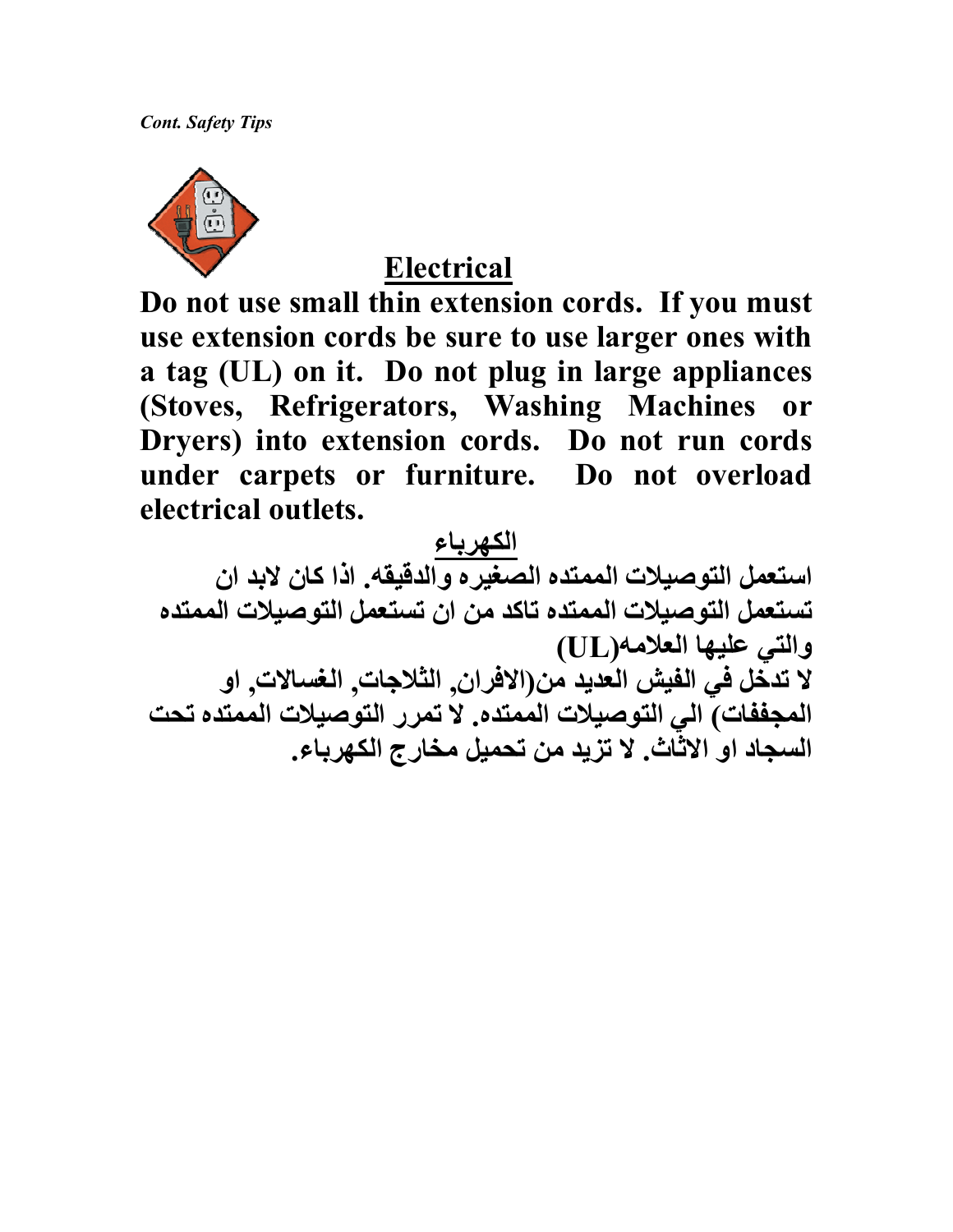

### **Electrical**

Do not use small thin extension cords. If you must use extension cords be sure to use larger ones with a tag (UL) on it. Do not plug in large appliances (Stoves, Refrigerators, Washing Machines **or** Dryers) into extension cords. Do not run cords under carpets or furniture. Do not overload electrical outlets.

الكهرباء<br>استعمل التوصيلات الممتده الصغيره والدقيقه. اذا كان لابد ان تستعمل التوصيلات الممتده تاكد من ان تستعمل التوصيلات الممتده والتي عليها العلامه(UL) لا تدخل في الفيش العديد من(الافران, الثلاجات, الغسالات, او المجففات) الى التوصيلات الممتده. لا تمرر التوصيلات الممتده تحت السجاد او الاثاث. لا تزيد من تحميل مخارج الكهرباء.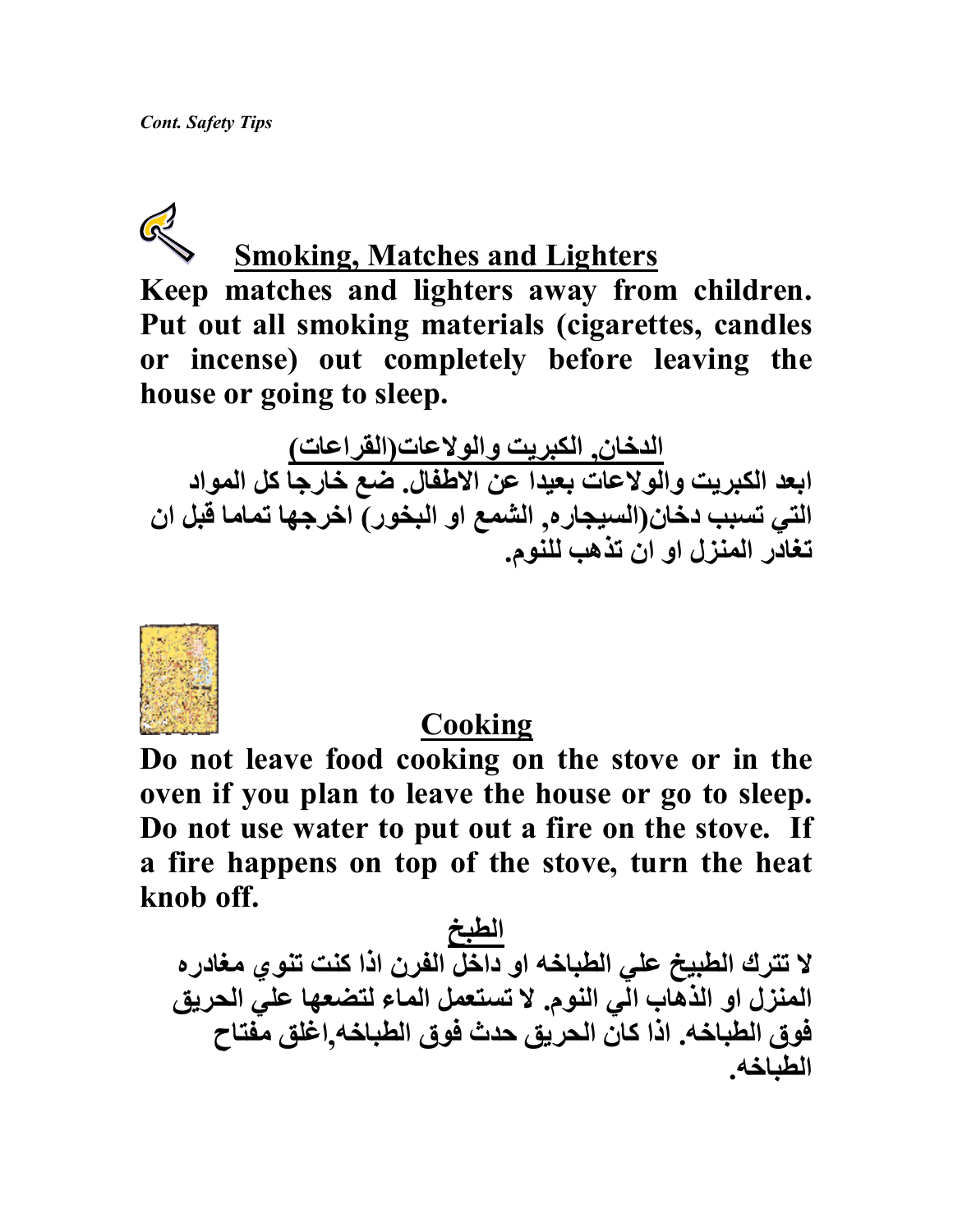# $\mathbb{Q}$

# **Smoking, Matches and Lighters**

Keep matches and lighters away from children. Put out all smoking materials (cigarettes, candles or incense) out completely before leaving the house or going to sleep.

الدخان, الكبريت والولاعات(القراعات)<br>ابعد الكبريت والولاعات بعيدا عن الاطفال. ضع خارجا كل المواد التي تسبب دخان(السيجار ه, الشمع او البخور) اخرجها تماما قبل ان تغادر المنزل او ان تذهب للنوم.



### Cooking

Do not leave food cooking on the stove or in the oven if you plan to leave the house or go to sleep. Do not use water to put out a fire on the stove. If a fire happens on top of the stove, turn the heat knob off.

الطبخ<br>لا تترك الطبيخ علي الطباخه او داخل الفرن اذا كنت تنوي مغادره المنزل او الذهاب الّي النوم. لا تستعمل الماء لتضعها علي الحريق فوق الطباخه. اذا كان الحريق حدث فوق الطباخه اغلق مفتاح الطباخه.